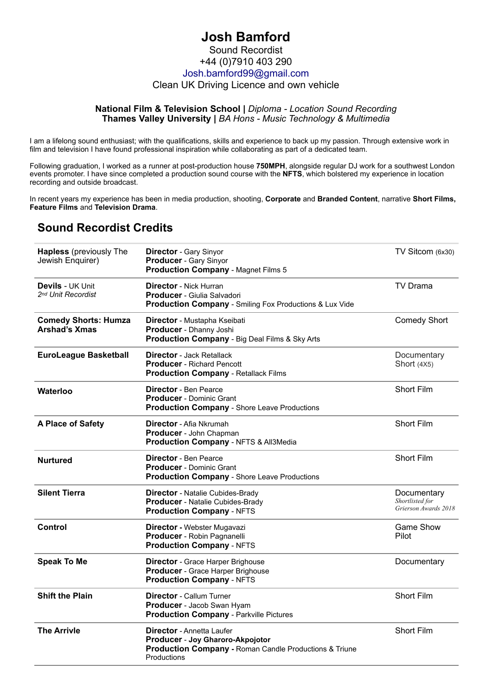## **Josh Bamford** Sound Recordist +44 (0)7910 403 290 [Josh.bamford99@gmail.com](mailto:Josh.bamford99@gmail.com) Clean UK Driving Licence and own vehicle

## **National Film & Television School |** *Diploma - Location Sound Recording* **Thames Valley University |** *BA Hons - Music Technology & Multimedia*

I am a lifelong sound enthusiast; with the qualifications, skills and experience to back up my passion. Through extensive work in film and television I have found professional inspiration while collaborating as part of a dedicated team.

Following graduation, I worked as a runner at post-production house **750MPH**, alongside regular DJ work for a southwest London events promoter. I have since completed a production sound course with the **NFTS**, which bolstered my experience in location recording and outside broadcast.

In recent years my experience has been in media production, shooting, **Corporate** and **Branded Content**, narrative **Short Films, Feature Films** and **Television Drama**.

## **Sound Recordist Credits**

| <b>Hapless</b> (previously The<br>Jewish Enquirer)        | <b>Director - Gary Sinyor</b><br>Producer - Gary Sinyor<br><b>Production Company - Magnet Films 5</b>                                                    | TV Sitcom (6x30)                                       |
|-----------------------------------------------------------|----------------------------------------------------------------------------------------------------------------------------------------------------------|--------------------------------------------------------|
| <b>Devils - UK Unit</b><br>2 <sup>nd</sup> Unit Recordist | <b>Director</b> - Nick Hurran<br>Producer - Giulia Salvadori<br><b>Production Company - Smiling Fox Productions &amp; Lux Vide</b>                       | <b>TV Drama</b>                                        |
| <b>Comedy Shorts: Humza</b><br>Arshad's Xmas              | Director - Mustapha Kseibati<br>Producer - Dhanny Joshi<br><b>Production Company - Big Deal Films &amp; Sky Arts</b>                                     | <b>Comedy Short</b>                                    |
| <b>EuroLeague Basketball</b>                              | <b>Director</b> - Jack Retallack<br><b>Producer</b> - Richard Pencott<br><b>Production Company - Retallack Films</b>                                     | Documentary<br>Short (4X5)                             |
| Waterloo                                                  | Director - Ben Pearce<br><b>Producer</b> - Dominic Grant<br><b>Production Company - Shore Leave Productions</b>                                          | <b>Short Film</b>                                      |
| A Place of Safety                                         | <b>Director</b> - Afia Nkrumah<br>Producer - John Chapman<br>Production Company - NFTS & All3Media                                                       | <b>Short Film</b>                                      |
| <b>Nurtured</b>                                           | <b>Director</b> - Ben Pearce<br><b>Producer</b> - Dominic Grant<br><b>Production Company - Shore Leave Productions</b>                                   | Short Film                                             |
| <b>Silent Tierra</b>                                      | <b>Director</b> - Natalie Cubides-Brady<br>Producer - Natalie Cubides-Brady<br><b>Production Company - NFTS</b>                                          | Documentary<br>Shortlisted for<br>Grierson Awards 2018 |
| Control                                                   | Director - Webster Mugavazi<br>Producer - Robin Pagnanelli<br><b>Production Company - NFTS</b>                                                           | <b>Game Show</b><br>Pilot                              |
| <b>Speak To Me</b>                                        | <b>Director</b> - Grace Harper Brighouse<br>Producer - Grace Harper Brighouse<br><b>Production Company - NFTS</b>                                        | Documentary                                            |
| <b>Shift the Plain</b>                                    | <b>Director - Callum Turner</b><br>Producer - Jacob Swan Hyam<br><b>Production Company - Parkville Pictures</b>                                          | <b>Short Film</b>                                      |
| <b>The Arrivle</b>                                        | <b>Director</b> - Annetta Laufer<br>Producer - Joy Gharoro-Akpojotor<br><b>Production Company - Roman Candle Productions &amp; Triune</b><br>Productions | <b>Short Film</b>                                      |